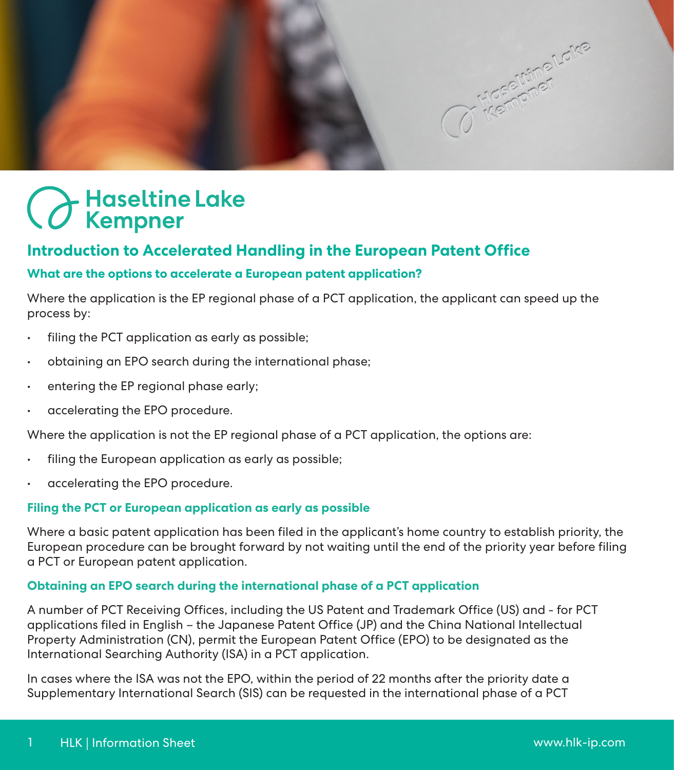

# Haseltine Lake<br>CKempner

## **Introduction to Accelerated Handling in the European Patent Office**

#### **What are the options to accelerate a European patent application?**

Where the application is the EP regional phase of a PCT application, the applicant can speed up the process by:

- filing the PCT application as early as possible;
- obtaining an EPO search during the international phase;
- entering the EP regional phase early;
- accelerating the EPO procedure.

Where the application is not the EP regional phase of a PCT application, the options are:

- filing the European application as early as possible;
- accelerating the EPO procedure.

#### **Filing the PCT or European application as early as possible**

Where a basic patent application has been filed in the applicant's home country to establish priority, the European procedure can be brought forward by not waiting until the end of the priority year before filing a PCT or European patent application.

#### **Obtaining an EPO search during the international phase of a PCT application**

A number of PCT Receiving Offices, including the US Patent and Trademark Office (US) and - for PCT applications filed in English – the Japanese Patent Office (JP) and the China National Intellectual Property Administration (CN), permit the European Patent Office (EPO) to be designated as the International Searching Authority (ISA) in a PCT application.

In cases where the ISA was not the EPO, within the period of 22 months after the priority date a Supplementary International Search (SIS) can be requested in the international phase of a PCT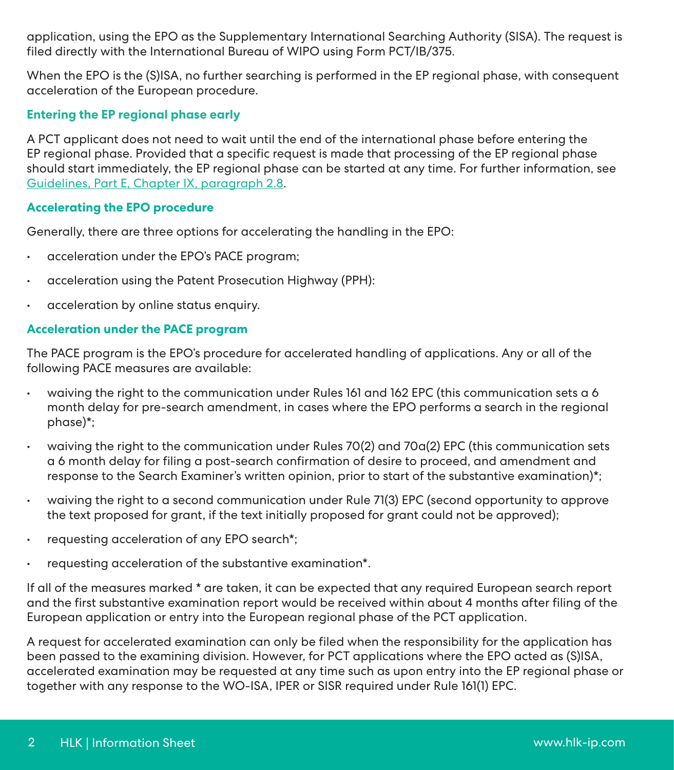application, using the EPO as the Supplementary International Searching Authority (SISA). The request is filed directly with the International Bureau of WIPO using Form PCT/IB/375.

When the EPO is the (S)ISA, no further searching is performed in the EP regional phase, with consequent acceleration of the European procedure.

#### **Entering the EP regional phase early**

A PCT applicant does not need to wait until the end of the international phase before entering the EP regional phase. Provided that a specific request is made that processing of the EP regional phase should start immediately, the EP regional phase can be started at any time. For further information, see [Guidelines, Part E, Chapter IX, paragraph 2.8](https://www.epo.org/law-practice/legal-texts/html/guidelines/e/e_ix_2_8.htm).

#### **Accelerating the EPO procedure**

Generally, there are three options for accelerating the handling in the EPO:

- acceleration under the EPO's PACE program;
- acceleration using the Patent Prosecution Highway (PPH):
- acceleration by online status enquiry.

#### **Acceleration under the PACE program**

The PACE program is the EPO's procedure for accelerated handling of applications. Any or all of the following PACE measures are available:

- waiving the right to the communication under Rules 161 and 162 EPC (this communication sets a 6 month delay for pre-search amendment, in cases where the EPO performs a search in the regional phase)\*;
- waiving the right to the communication under Rules 70(2) and 70a(2) EPC (this communication sets a 6 month delay for filing a post-search confirmation of desire to proceed, and amendment and response to the Search Examiner's written opinion, prior to start of the substantive examination)\*;
- waiving the right to a second communication under Rule 71(3) EPC (second opportunity to approve the text proposed for grant, if the text initially proposed for grant could not be approved);
- requesting acceleration of any EPO search\*;
- requesting acceleration of the substantive examination\*.

If all of the measures marked \* are taken, it can be expected that any required European search report and the first substantive examination report would be received within about 4 months after filing of the European application or entry into the European regional phase of the PCT application.

A request for accelerated examination can only be filed when the responsibility for the application has been passed to the examining division. However, for PCT applications where the EPO acted as (S)ISA, accelerated examination may be requested at any time such as upon entry into the EP regional phase or together with any response to the WO-ISA, IPER or SISR required under Rule 161(1) EPC.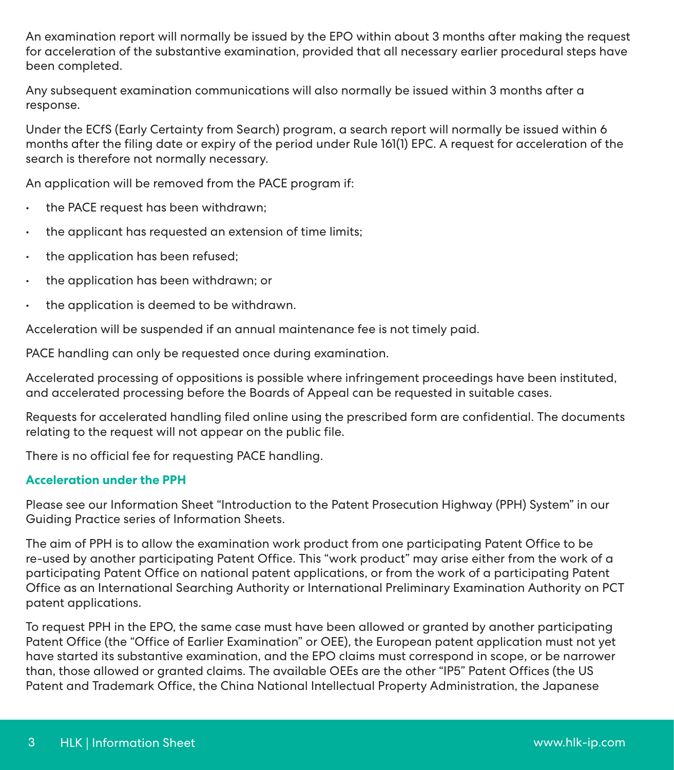An examination report will normally be issued by the EPO within about 3 months after making the request for acceleration of the substantive examination, provided that all necessary earlier procedural steps have been completed.

Any subsequent examination communications will also normally be issued within 3 months after a response.

Under the ECfS (Early Certainty from Search) program, a search report will normally be issued within 6 months after the filing date or expiry of the period under Rule 161(1) EPC. A request for acceleration of the search is therefore not normally necessary.

An application will be removed from the PACE program if:

- the PACE request has been withdrawn;
- the applicant has requested an extension of time limits;
- the application has been refused;
- the application has been withdrawn; or
- the application is deemed to be withdrawn.

Acceleration will be suspended if an annual maintenance fee is not timely paid.

PACE handling can only be requested once during examination.

Accelerated processing of oppositions is possible where infringement proceedings have been instituted, and accelerated processing before the Boards of Appeal can be requested in suitable cases.

Requests for accelerated handling filed online using the prescribed form are confidential. The documents relating to the request will not appear on the public file.

There is no official fee for requesting PACE handling.

#### **Acceleration under the PPH**

Please see our Information Sheet "Introduction to the Patent Prosecution Highway (PPH) System" in our Guiding Practice series of Information Sheets.

The aim of PPH is to allow the examination work product from one participating Patent Office to be re-used by another participating Patent Office. This "work product" may arise either from the work of a participating Patent Office on national patent applications, or from the work of a participating Patent Office as an International Searching Authority or International Preliminary Examination Authority on PCT patent applications.

To request PPH in the EPO, the same case must have been allowed or granted by another participating Patent Office (the "Office of Earlier Examination" or OEE), the European patent application must not yet have started its substantive examination, and the EPO claims must correspond in scope, or be narrower than, those allowed or granted claims. The available OEEs are the other "IP5" Patent Offices (the US Patent and Trademark Office, the China National Intellectual Property Administration, the Japanese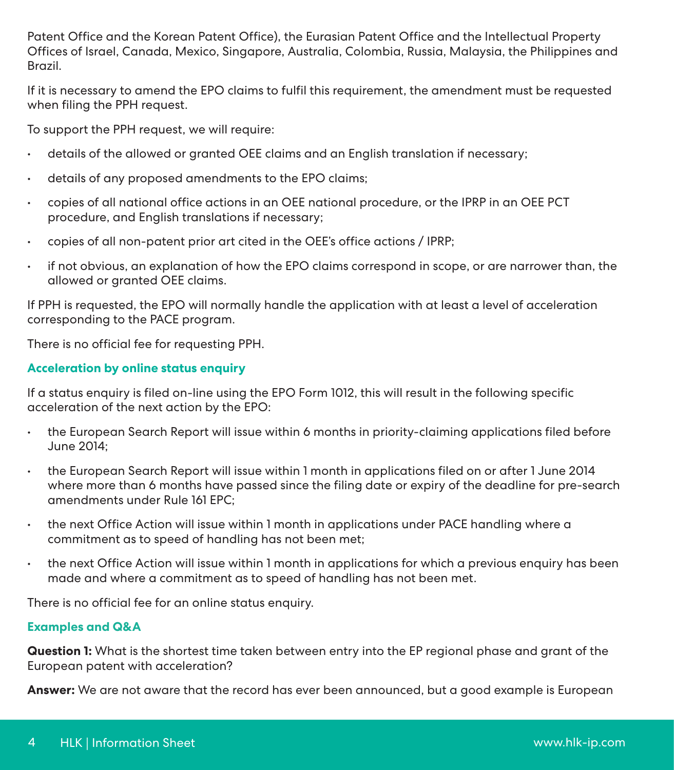Patent Office and the Korean Patent Office), the Eurasian Patent Office and the Intellectual Property Offices of Israel, Canada, Mexico, Singapore, Australia, Colombia, Russia, Malaysia, the Philippines and Brazil.

If it is necessary to amend the EPO claims to fulfil this requirement, the amendment must be requested when filing the PPH request.

To support the PPH request, we will require:

- details of the allowed or granted OEE claims and an English translation if necessary;
- details of any proposed amendments to the EPO claims;
- copies of all national office actions in an OEE national procedure, or the IPRP in an OEE PCT procedure, and English translations if necessary;
- copies of all non-patent prior art cited in the OEE's office actions / IPRP;
- if not obvious, an explanation of how the EPO claims correspond in scope, or are narrower than, the allowed or granted OEE claims.

If PPH is requested, the EPO will normally handle the application with at least a level of acceleration corresponding to the PACE program.

There is no official fee for requesting PPH.

#### **Acceleration by online status enquiry**

If a status enquiry is filed on-line using the EPO Form 1012, this will result in the following specific acceleration of the next action by the EPO:

- the European Search Report will issue within 6 months in priority-claiming applications filed before June 2014;
- the European Search Report will issue within 1 month in applications filed on or after 1 June 2014 where more than 6 months have passed since the filing date or expiry of the deadline for pre-search amendments under Rule 161 EPC;
- the next Office Action will issue within 1 month in applications under PACE handling where a commitment as to speed of handling has not been met;
- the next Office Action will issue within 1 month in applications for which a previous enquiry has been made and where a commitment as to speed of handling has not been met.

There is no official fee for an online status enquiry.

#### **Examples and Q&A**

**Question 1:** What is the shortest time taken between entry into the EP regional phase and grant of the European patent with acceleration?

**Answer:** We are not aware that the record has ever been announced, but a good example is European